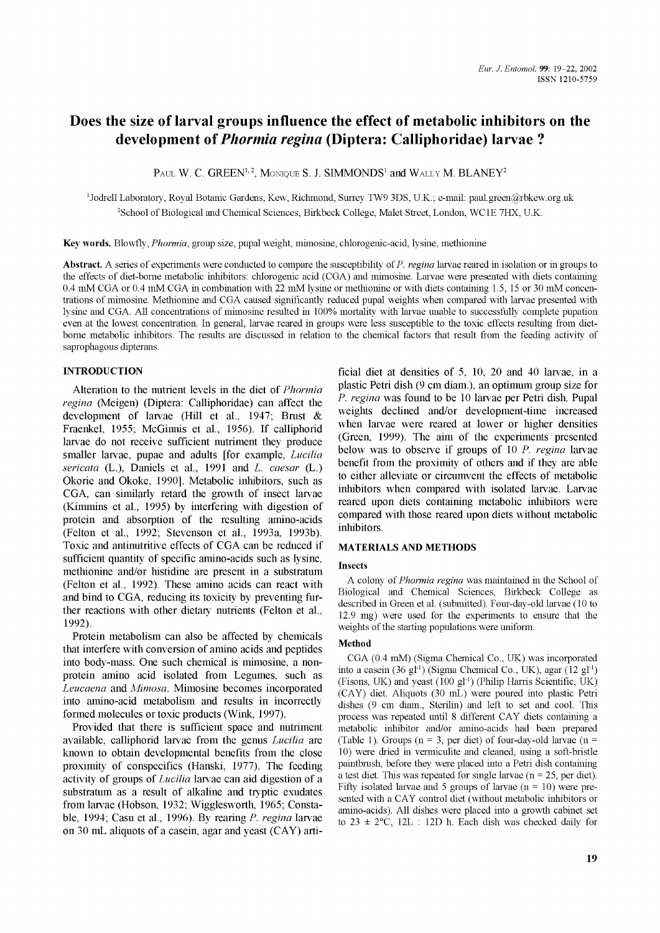# **Does the size of larval groups influence the effect of metabolic inhibitors on the development of** *Phormia regina* **(Diptera: Calliphoridae) larvae ?**

PAUL W. C. GREEN<sup>1, 2</sup>, MONIQUE S. J. SIMMONDS<sup>1</sup> and WALLY M. BLANEY<sup>2</sup>

1Jodrell Laboratory, Royal Botanic Gardens, Kew, Richmond, Surrey TW9 3DS, U.K.; e-mail: [paul.green@rbkew.org.uk](mailto:paul.green@rbkew.org.uk) 2School of Biological and Chemical Sciences, Birkbeck College, Malet Street, London, WC1E 7HX, U.K.

**Key words.** Blowfly, *Phormia,* group size, pupal weight, mimosine, chlorogenic-acid, lysine, methionine

**Abstract.** A series of experiments were conducted to compare the susceptibility of *P. regina* larvae reared in isolation or in groups to the effects of diet-borne metabolic inhibitors: chlorogenic acid (CGA) and mimosine. Larvae were presented with diets containing 0.4 mM CGA or 0.4 mM CGA in combination with 22 mM lysine or methionine or with diets containing 1.5, 15 or 30 mM concentrations of mimosine. Methionine and CGA caused significantly reduced pupal weights when compared with larvae presented with lysine and CGA. All concentrations of mimosine resulted in 100% mortality with larvae unable to successfully complete pupation even at the lowest concentration. In general, larvae reared in groups were less susceptible to the toxic effects resulting from dietborne metabolic inhibitors. The results are discussed in relation to the chemical factors that result from the feeding activity of saprophagous dipterans.

## **INTRODUCTION**

Alteration to the nutrient levels in the diet of *Phormia regina* (Meigen) (Diptera: Calliphoridae) can affect the development of larvae (Hill et al., 1947; Brust & Fraenkel, 1955; McGinnis et al., 1956). If calliphorid larvae do not receive sufficient nutriment they produce smaller larvae, pupae and adults [for example, *Lucilia sericata* (L.), Daniels et al., 1991 and *L. caesar* (L.) Okorie and Okoke, 1990]. Metabolic inhibitors, such as CGA, can similarly retard the growth of insect larvae (Kimmins et al., 1995) by interfering with digestion of protein and absorption of the resulting amino-acids (Felton et al., 1992; Stevenson et al., 1993a, 1993b). Toxic and antinutritive effects of CGA can be reduced if sufficient quantity of specific amino-acids such as lysine, methionine and/or histidine are present in a substratum (Felton et al., 1992). These amino acids can react with and bind to CGA, reducing its toxicity by preventing further reactions with other dietary nutrients (Felton et al., 1992).

Protein metabolism can also be affected by chemicals that interfere with conversion of amino acids and peptides into body-mass. One such chemical is mimosine, a nonprotein amino acid isolated from Legumes, such as *Leucaena* and *Mimosa.* Mimosine becomes incorporated into amino-acid metabolism and results in incorrectly formed molecules or toxic products (Wink, 1997).

Provided that there is sufficient space and nutriment available, calliphorid larvae from the genus *Lucilia* are known to obtain developmental benefits from the close proximity of conspecifics (Hanski, 1977). The feeding activity of groups of *Lucilia* larvae can aid digestion of a substratum as a result of alkaline and tryptic exudates from larvae (Hobson, 1932; Wigglesworth, 1965; Constable, 1994; Casu et al., 1996). By rearing *P. regina* larvae on 30 mL aliquots of a casein, agar and yeast (CAY) artificial diet at densities of 5, 10, 20 and 40 larvae, in a plastic Petri dish (9 cm diam.), an optimum group size for *P. regina* was found to be 10 larvae per Petri dish. Pupal weights declined and/or development-time increased when larvae were reared at lower or higher densities (Green, 1999). The aim of the experiments presented below was to observe if groups of 10 *P. regina* larvae benefit from the proximity of others and if they are able to either alleviate or circumvent the effects of metabolic inhibitors when compared with isolated larvae. Larvae reared upon diets containing metabolic inhibitors were compared with those reared upon diets without metabolic inhibitors.

#### **MATERIALS AND METHODS**

#### **Insects**

A colony of *Phormia regina* was maintained in the School of Biological and Chemical Sciences, Birkbeck College as described in Green et al. (submitted). Four-day-old larvae (10 to 12.9 mg) were used for the experiments to ensure that the weights of the starting populations were uniform.

#### **Method**

CGA (0.4 mM) (Sigma Chemical Co., UK) was incorporated into a casein  $(36 \text{ gl}^{-1})$  (Sigma Chemical Co., UK), agar  $(12 \text{ gl}^{-1})$ (Fisons, UK) and yeast  $(100 \text{ g}^{11})$  (Philip Harris Scientific, UK) (CAY) diet. Aliquots (30 mL) were poured into plastic Petri dishes (9 cm diam., Sterilin) and left to set and cool. This process was repeated until 8 different CAY diets containing a metabolic inhibitor and/or amino-acids had been prepared (Table 1). Groups ( $n = 3$ , per diet) of four-day-old larvae ( $n =$ 10) were dried in vermiculite and cleaned, using a soft-bristle paintbrush, before they were placed into a Petri dish containing a test diet. This was repeated for single larvae ( $n = 25$ , per diet). Fifty isolated larvae and 5 groups of larvae  $(n = 10)$  were presented with a CAY control diet (without metabolic inhibitors or amino-acids). All dishes were placed into a growth cabinet set to  $23 \pm 2$ °C, 12L : 12D h. Each dish was checked daily for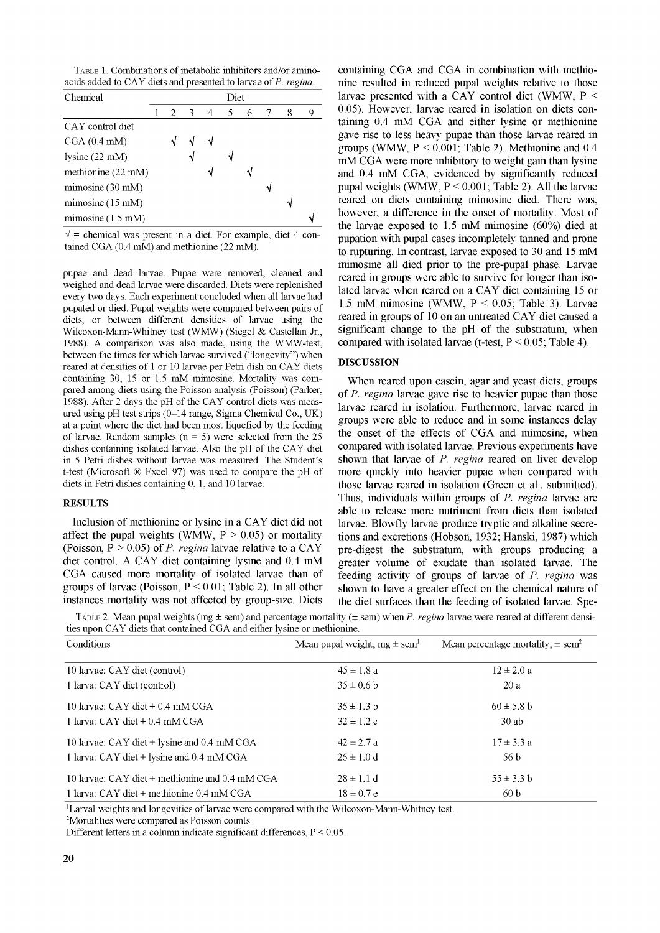TABLE 1. Combinations of metabolic inhibitors and/or aminoacids added to CAY diets and presented to larvae of *P. regina.*

| Chemical                     |   |   |   | Diet |   |   |   |
|------------------------------|---|---|---|------|---|---|---|
|                              | 2 | 3 | 4 | 5    | 6 | 8 | 9 |
| CAY control diet             |   |   |   |      |   |   |   |
| CGA (0.4 mM)                 |   |   |   |      |   |   |   |
| lysine $(22 \text{ mM})$     |   |   |   |      |   |   |   |
| methionine $(22 \text{ mM})$ |   |   |   |      |   |   |   |
| $m$ mosine (30 mM)           |   |   |   |      |   |   |   |
| mimosine $(15 \text{ mM})$   |   |   |   |      |   |   |   |
| mimosine $(1.5 \text{ mM})$  |   |   |   |      |   |   |   |
|                              |   |   |   |      |   |   |   |

 $\sqrt{ }$  = chemical was present in a diet. For example, diet 4 contained CGA (0.4 mM) and methionine (22 mM).

pupae and dead larvae. Pupae were removed, cleaned and weighed and dead larvae were discarded. Diets were replenished every two days. Each experiment concluded when all larvae had pupated or died. Pupal weights were compared between pairs of diets, or between different densities of larvae using the Wilcoxon-Mann-Whitney test (WMW) (Siegel & Castellan Jr., 1988). A comparison was also made, using the WMW-test, between the times for which larvae survived ("longevity") when reared at densities of 1 or 10 larvae per Petri dish on CAY diets containing 30, 15 or 1.5 mM mimosine. Mortality was compared among diets using the Poisson analysis (Poisson) (Parker, 1988). After 2 days the pH of the CAY control diets was measured using pH test strips (0-14 range, Sigma Chemical Co., UK) at a point where the diet had been most liquefied by the feeding of larvae. Random samples  $(n = 5)$  were selected from the 25 dishes containing isolated larvae. Also the pH of the CAY diet in 5 Petri dishes without larvae was measured. The Student's t-test (Microsoft ® Excel 97) was used to compare the pH of diets in Petri dishes containing 0, 1, and 10 larvae.

### **RESULTS**

Inclusion of methionine or lysine in a CAY diet did not affect the pupal weights (WMW,  $P > 0.05$ ) or mortality (Poisson,  $P > 0.05$ ) of *P. regina* larvae relative to a CAY diet control. A CAY diet containing lysine and 0.4 mM CGA caused more mortality of isolated larvae than of groups of larvae (Poisson, P < 0.01; Table 2). In all other instances mortality was not affected by group-size. Diets containing CGA and CGA in combination with methionine resulted in reduced pupal weights relative to those larvae presented with a CAY control diet (WMW,  $P \leq$ 0.05). However, larvae reared in isolation on diets containing 0.4 mM CGA and either lysine or methionine gave rise to less heavy pupae than those larvae reared in groups (WMW,  $P \le 0.001$ ; Table 2). Methionine and 0.4 mM CGA were more inhibitory to weight gain than lysine and 0.4 mM CGA, evidenced by significantly reduced pupal weights (WMW,  $P \le 0.001$ ; Table 2). All the larvae reared on diets containing mimosine died. There was, however, a difference in the onset of mortality. Most of the larvae exposed to 1.5 mM mimosine (60%) died at pupation with pupal cases incompletely tanned and prone to rupturing. In contrast, larvae exposed to 30 and 15 mM mimosine all died prior to the pre-pupal phase. Larvae reared in groups were able to survive for longer than isolated larvae when reared on a CAY diet containing 15 or 1.5 mM mimosine (WMW,  $P < 0.05$ ; Table 3). Larvae reared in groups of 10 on an untreated CAY diet caused a significant change to the pH of the substratum, when compared with isolated larvae (t-test,  $P \le 0.05$ ; Table 4).

## **DISCUSSION**

When reared upon casein, agar and yeast diets, groups of *P. regina* larvae gave rise to heavier pupae than those larvae reared in isolation. Furthermore, larvae reared in groups were able to reduce and in some instances delay the onset of the effects of CGA and mimosine, when compared with isolated larvae. Previous experiments have shown that larvae of *P. regina* reared on liver develop more quickly into heavier pupae when compared with those larvae reared in isolation (Green et al., submitted). Thus, individuals within groups of *P. regina* larvae are able to release more nutriment from diets than isolated larvae. Blowfly larvae produce tryptic and alkaline secretions and excretions (Hobson, 1932; Hanski, 1987) which pre-digest the substratum, with groups producing a greater volume of exudate than isolated larvae. The feeding activity of groups of larvae of *P. regina* was shown to have a greater effect on the chemical nature of the diet surfaces than the feeding of isolated larvae. Spe-

Table 2. Mean pupal weights (mg ± sem) and percentage mortality (± sem) when *P. regina* larvae were reared at different densities upon CAY diets that contained CGA and either lysine or methionine.

| Conditions                                      | Mean pupal weight, $mg \pm sem^1$ | Mean percentage mortality, $\pm$ sem <sup>2</sup> |
|-------------------------------------------------|-----------------------------------|---------------------------------------------------|
| 10 larvae: CAY diet (control)                   | $45 \pm 1.8$ a                    | $12 \pm 2.0 a$                                    |
| 1 larva: CAY diet (control)                     | $35 \pm 0.6 b$                    | 20 a                                              |
| 10 larvae: $CAY$ diet $+0.4$ mM CGA             | $36 \pm 1.3$ b                    | $60 \pm 5.8$ b                                    |
| 1 larva: $CAY$ diet $+0.4$ mM $CGA$             | $32 \pm 1.2$ c                    | 30ab                                              |
| 10 larvae: CAY diet + lysine and 0.4 mM CGA     | $42 \pm 2.7 a$                    | $17 \pm 3.3 a$                                    |
| 1 larva: CAY diet + lysine and 0.4 mM CGA       | $26 \pm 1.0$ d                    | 56 b                                              |
| 10 larvae: CAY diet + methionine and 0.4 mM CGA | $28 \pm 1.1$ d                    | $55 \pm 3.3$ b                                    |
| 1 larva: CAY diet + methionine 0.4 mM CGA       | $18 \pm 0.7 e$                    | 60 b                                              |

1Larval weights and longevities of larvae were compared with the Wilcoxon-Mann-Whitney test.

2Mortalities were compared as Poisson counts.

Different letters in a column indicate significant differences, P < 0.05.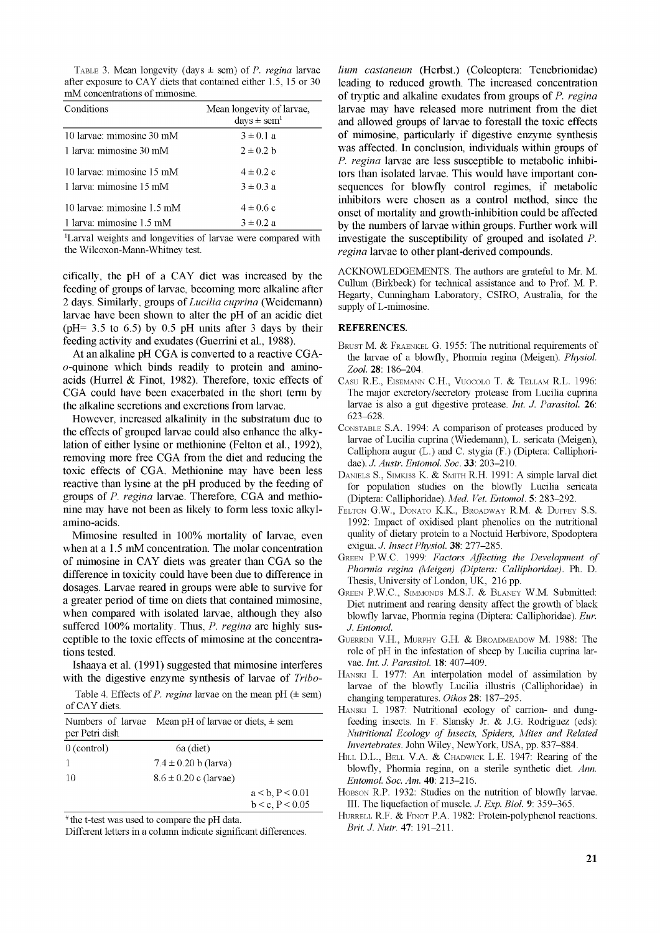TABLE 3. Mean longevity (days  $\pm$  sem) of *P. regina* larvae after exposure to CAY diets that contained either 1.5, 15 or 30 mM concentrations of mimosine.

| Conditions                 | Mean longevity of larvae,<br>$days \pm sem^1$ |
|----------------------------|-----------------------------------------------|
| 10 larvae: mimosine 30 mM  | $3 \pm 0.1 a$                                 |
| 1 larva: mimosine 30 mM    | $2 \pm 0.2$ b                                 |
| 10 larvae: mimosine 15 mM  | $4 \pm 0.2$ c                                 |
| 1 larva: mimosine 15 mM    | $3 \pm 0.3 a$                                 |
| 10 larvae: mimosine 1.5 mM | $4 \pm 0.6 \; c$                              |
| 1 larva: mimosine 1.5 mM   | $3 \pm 0.2$ a                                 |

<sup>1</sup>Larval weights and longevities of larvae were compared with the Wilcoxon-Mann-Whitney test.

cifically, the pH of a CAY diet was increased by the feeding of groups of larvae, becoming more alkaline after 2 days. Similarly, groups of *Lucilia cuprina* (Weidemann) larvae have been shown to alter the pH of an acidic diet ( $pH = 3.5$  to 6.5) by 0.5 pH units after 3 days by their feeding activity and exudates (Guerrini et al., 1988).

At an alkaline pH CGA is converted to a reactive CGAo-quinone which binds readily to protein and aminoacids (Hurrel & Finot, 1982). Therefore, toxic effects of CGA could have been exacerbated in the short term by the alkaline secretions and excretions from larvae.

However, increased alkalinity in the substratum due to the effects of grouped larvae could also enhance the alkylation of either lysine or methionine (Felton et al., 1992), removing more free CGA from the diet and reducing the toxic effects of CGA. Methionine may have been less reactive than lysine at the pH produced by the feeding of groups of *P. regina* larvae. Therefore, CGA and methionine may have not been as likely to form less toxic alkylamino-acids.

Mimosine resulted in 100% mortality of larvae, even when at a 1.5 mM concentration. The molar concentration of mimosine in CAY diets was greater than CGA so the difference in toxicity could have been due to difference in dosages. Larvae reared in groups were able to survive for a greater period of time on diets that contained mimosine, when compared with isolated larvae, although they also suffered 100% mortality. Thus, *P. regina* are highly susceptible to the toxic effects of mimosine at the concentrations tested.

Ishaaya et al. (1991) suggested that mimosine interferes with the digestive enzyme synthesis of larvae of *Tribo-*

Table 4. Effects of *P. regina* larvae on the mean pH  $(\pm$  sem) of CAY diets.

| Numbers of larvae<br>per Petri dish | Mean pH of larvae or diets, $\pm$ sem |                      |
|-------------------------------------|---------------------------------------|----------------------|
| $0$ (control)                       | $6a$ (diet)                           |                      |
|                                     | $7.4 \pm 0.20$ b (larva)              |                      |
| 10                                  | $8.6 \pm 0.20$ c (larvae)             |                      |
|                                     |                                       | $a < b$ , $P < 0.01$ |
|                                     |                                       | $b < c$ , $P < 0.05$ |

# the t-test was used to compare the pH data.

Different letters in a column indicate significant differences.

*lium castaneum* (Herbst.) (Coleoptera: Tenebrionidae) leading to reduced growth. The increased concentration of tryptic and alkaline exudates from groups of *P. regina* larvae may have released more nutriment from the diet and allowed groups of larvae to forestall the toxic effects of mimosine, particularly if digestive enzyme synthesis was affected. In conclusion, individuals within groups of *P. regina* larvae are less susceptible to metabolic inhibitors than isolated larvae. This would have important consequences for blowfly control regimes, if metabolic inhibitors were chosen as a control method, since the onset of mortality and growth-inhibition could be affected by the numbers of larvae within groups. Further work will investigate the susceptibility of grouped and isolated *P. regina* larvae to other plant-derived compounds.

ACKNOWLEDGEMENTS. The authors are grateful to Mr. M. Cullum (Birkbeck) for technical assistance and to Prof. M. P. Hegarty, Cunningham Laboratory, CSIRO, Australia, for the supply of L-mimosine.

## **REFERENCES.**

- BRUST M. & FRAENKEL G. 1955: The nutritional requirements of the larvae of a blowfly, Phormia regina (Meigen). *Physiol. Zool.* **28**: 186-204.
- Casu R.E., Eisemann C.H., Vuocolo T. & Tellam R.L. 1996: The major excretory/secretory protease from Lucilia cuprina larvae is also a gut digestive protease. *Int. J. Parasitol.* **26**: 623-628.
- Constable S.A. 1994: A comparison of proteases produced by larvae of Lucilia cuprina (Wiedemann), L. sericata (Meigen), Calliphora augur (L.) and C. stygia (F.) (Diptera: Calliphoridae). *J. Austr. Entomol. Soc.* **33**: 203-210.
- Daniels S., Simkiss K. & Smith R.H. 1991: A simple larval diet for population studies on the blowfly Lucilia sericata (Diptera: Calliphoridae). *Med. Vet. Entomol.* **5**: 283-292.
- FELTON G.W., DONATO K.K., BROADWAY R.M. & DUFFEY S.S. 1992: Impact of oxidised plant phenolics on the nutritional quality of dietary protein to a Noctuid Herbivore, Spodoptera exigua. *J. Insect Physiol.* **38**: 277-285.
- Green P.W.C. 1999: *Factors Affecting the Development of Phormia regina (Meigen) (Diptera: Calliphoridae).* Ph. D. Thesis, University of London, UK, 216 pp.
- Green P.W.C., Simmonds M.S.J. & Blaney W.M. Submitted: Diet nutriment and rearing density affect the growth of black blowfly larvae, Phormia regina (Diptera: Calliphoridae). *Eur. J. Entomol.*
- Guerrini V.H., Murphy G.H. & Broadmeadow M. 1988: The role of pH in the infestation of sheep by Lucilia cuprina larvae. *Int. J. Parasitol.* **18**: 407-409.
- Hanski I. 1977: An interpolation model of assimilation by larvae of the blowfly Lucilia illustris (Calliphoridae) in changing temperatures. *Oikos* **28**: 187-295.
- HANSKI I. 1987: Nutritional ecology of carrion- and dungfeeding insects. In F. Slansky Jr. & J.G. Rodriguez (eds): *Nutritional Ecology of Insects, Spiders, Mites and Related Invertebrates.* John Wiley, NewYork, USA, pp. 837-884.
- HILL D.L., BELL V.A. & CHADWICK L.E. 1947: Rearing of the blowfly, Phormia regina, on a sterile synthetic diet. *Ann. Entomol. Soc. Am.* **40**: 213-216.
- Hobson R.P. 1932: Studies on the nutrition of blowfly larvae. III. The liquefaction of muscle. *J. Exp. Biol.* **9**: 359-365.
- HURRELL R.F. & FINOT P.A. 1982: Protein-polyphenol reactions. *Brit. J. Nutr.* **47**: 191-211.